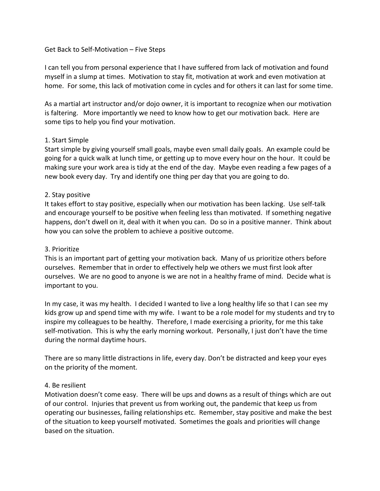# Get Back to Self-Motivation – Five Steps

I can tell you from personal experience that I have suffered from lack of motivation and found myself in a slump at times. Motivation to stay fit, motivation at work and even motivation at home. For some, this lack of motivation come in cycles and for others it can last for some time.

As a martial art instructor and/or dojo owner, it is important to recognize when our motivation is faltering. More importantly we need to know how to get our motivation back. Here are some tips to help you find your motivation.

# 1. Start Simple

Start simple by giving yourself small goals, maybe even small daily goals. An example could be going for a quick walk at lunch time, or getting up to move every hour on the hour. It could be making sure your work area is tidy at the end of the day. Maybe even reading a few pages of a new book every day. Try and identify one thing per day that you are going to do.

# 2. Stay positive

It takes effort to stay positive, especially when our motivation has been lacking. Use self-talk and encourage yourself to be positive when feeling less than motivated. If something negative happens, don't dwell on it, deal with it when you can. Do so in a positive manner. Think about how you can solve the problem to achieve a positive outcome.

## 3. Prioritize

This is an important part of getting your motivation back. Many of us prioritize others before ourselves. Remember that in order to effectively help we others we must first look after ourselves. We are no good to anyone is we are not in a healthy frame of mind. Decide what is important to you.

In my case, it was my health. I decided I wanted to live a long healthy life so that I can see my kids grow up and spend time with my wife. I want to be a role model for my students and try to inspire my colleagues to be healthy. Therefore, I made exercising a priority, for me this take self-motivation. This is why the early morning workout. Personally, I just don't have the time during the normal daytime hours.

There are so many little distractions in life, every day. Don't be distracted and keep your eyes on the priority of the moment.

#### 4. Be resilient

Motivation doesn't come easy. There will be ups and downs as a result of things which are out of our control. Injuries that prevent us from working out, the pandemic that keep us from operating our businesses, failing relationships etc. Remember, stay positive and make the best of the situation to keep yourself motivated. Sometimes the goals and priorities will change based on the situation.